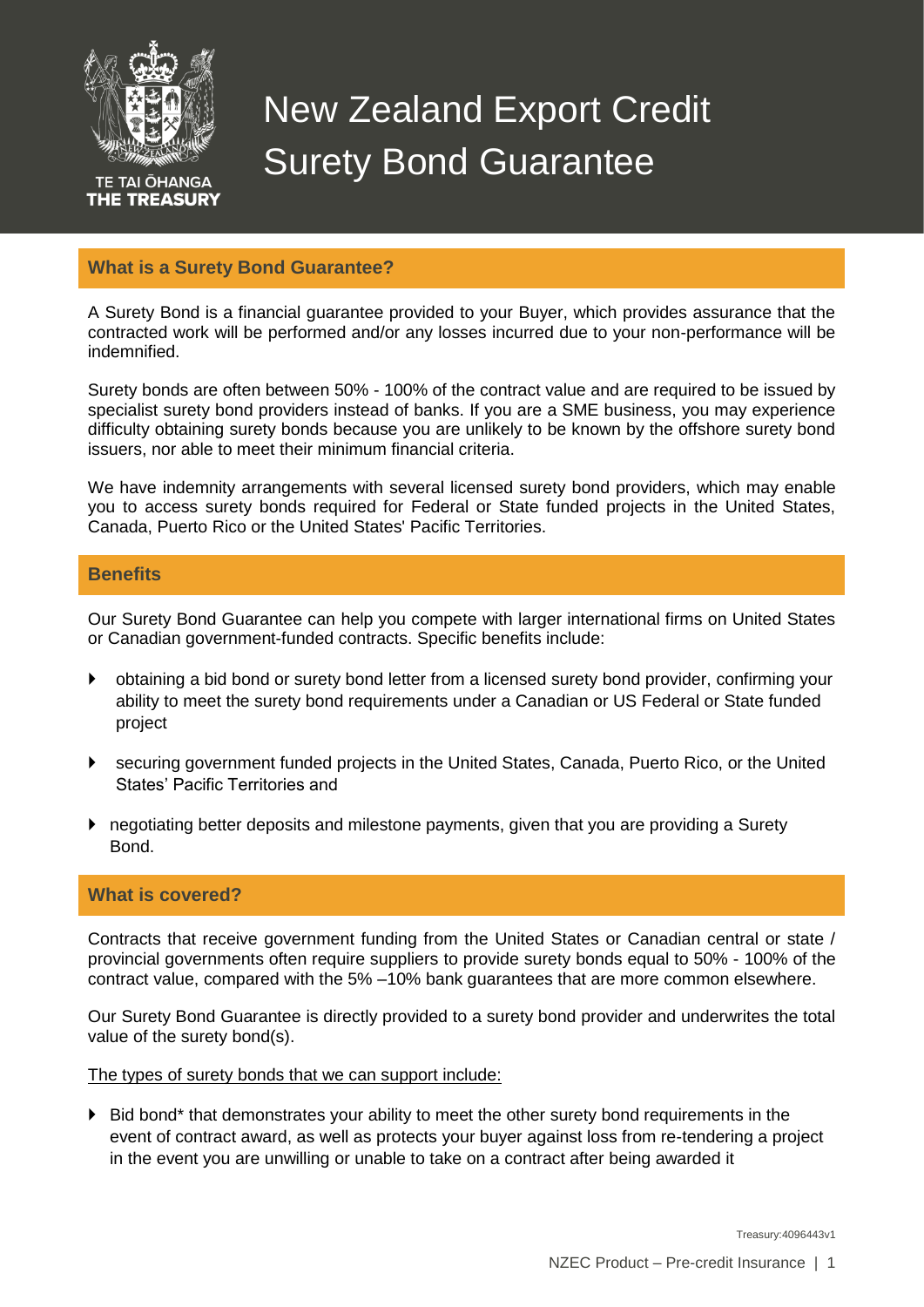

**TE TAI ŌHANGA** THE TREASURY

# New Zealand Export Credit Surety Bond Guarantee

## **What is a Surety Bond Guarantee?**

A Surety Bond is a financial guarantee provided to your Buyer, which provides assurance that the contracted work will be performed and/or any losses incurred due to your non-performance will be indemnified.

Surety bonds are often between 50% - 100% of the contract value and are required to be issued by specialist surety bond providers instead of banks. If you are a SME business, you may experience difficulty obtaining surety bonds because you are unlikely to be known by the offshore surety bond issuers, nor able to meet their minimum financial criteria.

We have indemnity arrangements with several licensed surety bond providers, which may enable you to access surety bonds required for Federal or State funded projects in the United States, Canada, Puerto Rico or the United States' Pacific Territories.

#### **Benefits**

Our Surety Bond Guarantee can help you compete with larger international firms on United States or Canadian government-funded contracts. Specific benefits include:

- obtaining a bid bond or surety bond letter from a licensed surety bond provider, confirming your ability to meet the surety bond requirements under a Canadian or US Federal or State funded project
- securing government funded projects in the United States, Canada, Puerto Rico, or the United States' Pacific Territories and
- negotiating better deposits and milestone payments, given that you are providing a Surety Bond.

## **What is covered?**

Contracts that receive government funding from the United States or Canadian central or state / provincial governments often require suppliers to provide surety bonds equal to 50% - 100% of the contract value, compared with the 5% –10% bank guarantees that are more common elsewhere.

Our Surety Bond Guarantee is directly provided to a surety bond provider and underwrites the total value of the surety bond(s).

The types of surety bonds that we can support include:

 Bid bond\* that demonstrates your ability to meet the other surety bond requirements in the event of contract award, as well as protects your buyer against loss from re-tendering a project in the event you are unwilling or unable to take on a contract after being awarded it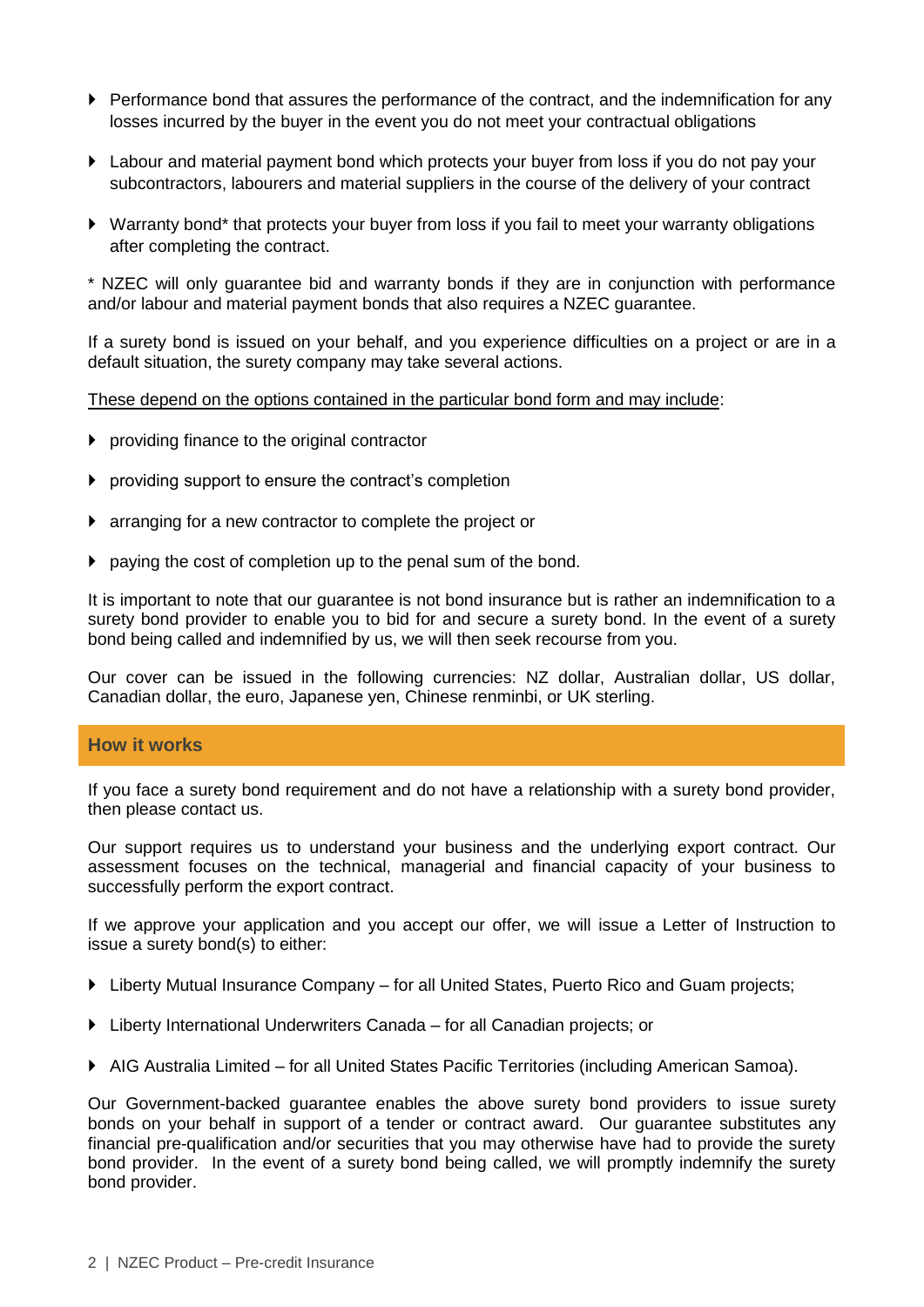- $\blacktriangleright$  Performance bond that assures the performance of the contract, and the indemnification for any losses incurred by the buyer in the event you do not meet your contractual obligations
- Labour and material payment bond which protects your buyer from loss if you do not pay your subcontractors, labourers and material suppliers in the course of the delivery of your contract
- Warranty bond\* that protects your buyer from loss if you fail to meet your warranty obligations after completing the contract.

\* NZEC will only guarantee bid and warranty bonds if they are in conjunction with performance and/or labour and material payment bonds that also requires a NZEC guarantee.

If a surety bond is issued on your behalf, and you experience difficulties on a project or are in a default situation, the surety company may take several actions.

#### These depend on the options contained in the particular bond form and may include:

- $\blacktriangleright$  providing finance to the original contractor
- providing support to ensure the contract's completion
- arranging for a new contractor to complete the project or
- $\triangleright$  paying the cost of completion up to the penal sum of the bond.

It is important to note that our guarantee is not bond insurance but is rather an indemnification to a surety bond provider to enable you to bid for and secure a surety bond. In the event of a surety bond being called and indemnified by us, we will then seek recourse from you.

Our cover can be issued in the following currencies: NZ dollar, Australian dollar, US dollar, Canadian dollar, the euro, Japanese yen, Chinese renminbi, or UK sterling.

#### **How it works**

If you face a surety bond requirement and do not have a relationship with a surety bond provider, then please contact us.

Our support requires us to understand your business and the underlying export contract. Our assessment focuses on the technical, managerial and financial capacity of your business to successfully perform the export contract.

If we approve your application and you accept our offer, we will issue a Letter of Instruction to issue a surety bond(s) to either:

- ▶ [Liberty Mutual Insurance Company](http://www.libertymutual.com/) for all United States, Puerto Rico and Guam projects;
- [Liberty International Underwriters Canada](http://www.liucanada.com/) for all Canadian projects; or
- [AIG Australia Limited](http://www.aig.com.au/) for all United States Pacific Territories (including American Samoa).

Our Government-backed guarantee enables the above surety bond providers to issue surety bonds on your behalf in support of a tender or contract award. Our guarantee substitutes any financial pre-qualification and/or securities that you may otherwise have had to provide the surety bond provider. In the event of a surety bond being called, we will promptly indemnify the surety bond provider.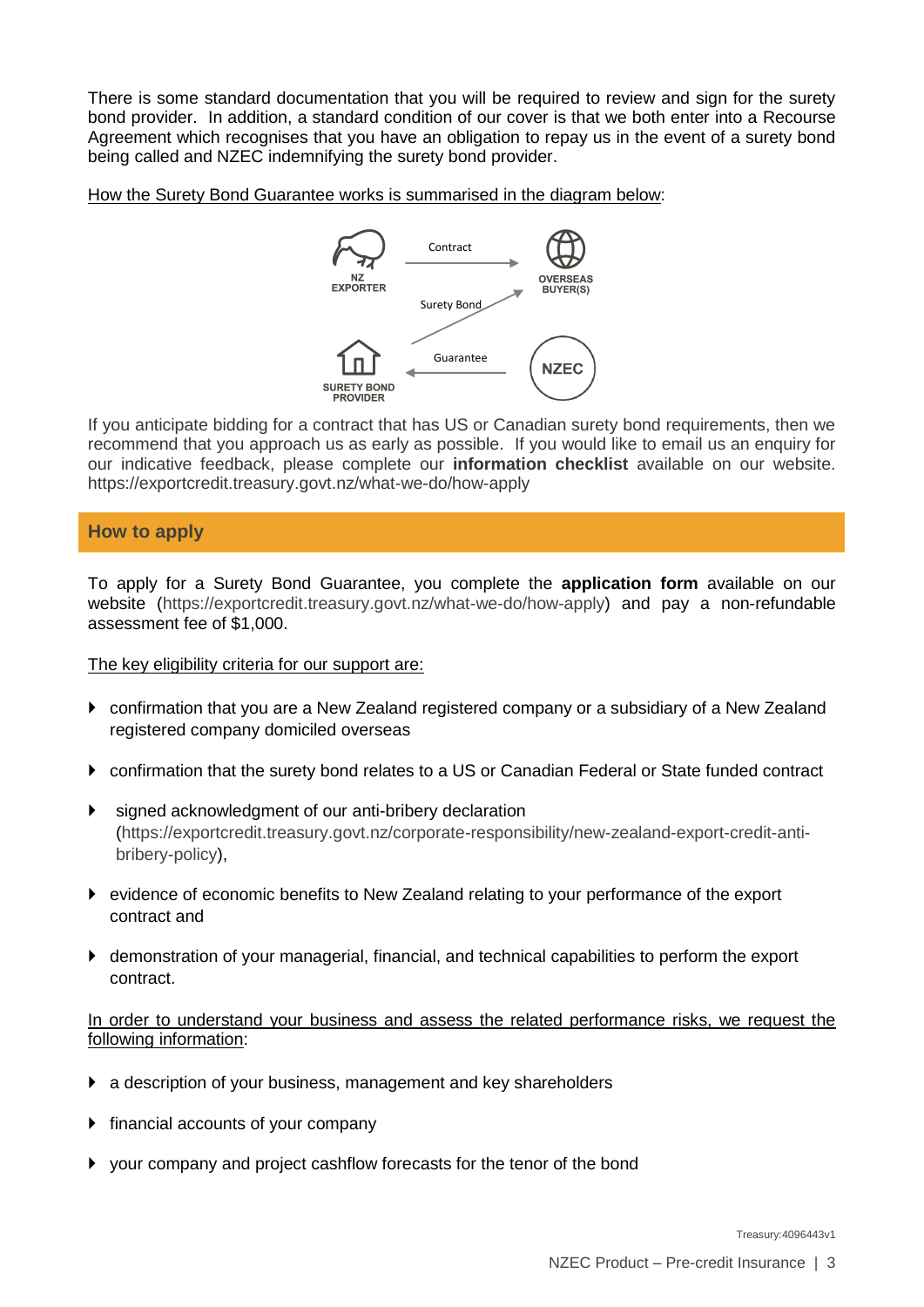There is some standard documentation that you will be required to review and sign for the surety bond provider. In addition, a standard condition of our cover is that we both enter into a Recourse Agreement which recognises that you have an obligation to repay us in the event of a surety bond being called and NZEC indemnifying the surety bond provider.

How the Surety Bond Guarantee works is summarised in the diagram below:



If you anticipate bidding for a contract that has US or Canadian surety bond requirements, then we recommend that you approach us as early as possible. If you would like to email us an enquiry for our indicative feedback, please complete our **information checklist** available on our website. <https://exportcredit.treasury.govt.nz/what-we-do/how-apply>

## **How to apply**

To apply for a Surety Bond Guarantee, you complete the **[application form](http://www.nzeco.govt.nz/apply/applicationforms/nzeco-ussuretybond-v6.doc)** available on our website [\(https://exportcredit.treasury.govt.nz/what-we-do/how-apply\)](https://exportcredit.treasury.govt.nz/what-we-do/how-apply) and pay a non-refundable assessment fee of \$1,000.

The key eligibility criteria for our support are:

- confirmation that you are a New Zealand registered company or a subsidiary of a New Zealand registered company domiciled overseas
- confirmation that the surety bond relates to a US or Canadian Federal or State funded contract
- signed acknowledgment of our [anti-bribery declaration](http://www.nzeco.govt.nz/corporate-responsibility/policy) [\(https://exportcredit.treasury.govt.nz/corporate-responsibility/new-zealand-export-credit-anti](https://exportcredit.treasury.govt.nz/corporate-responsibility/new-zealand-export-credit-anti-bribery-policy)[bribery-policy\)](https://exportcredit.treasury.govt.nz/corporate-responsibility/new-zealand-export-credit-anti-bribery-policy),
- evidence of [economic benefits to New Zealand](http://www.nzeco.govt.nz/about/) relating to your performance of the export contract and
- demonstration of your managerial, financial, and technical capabilities to perform the export contract.

In order to understand your business and assess the related performance risks, we request the following information:

- a description of your business, management and key shareholders
- $\triangleright$  financial accounts of your company
- your company and project cashflow forecasts for the tenor of the bond